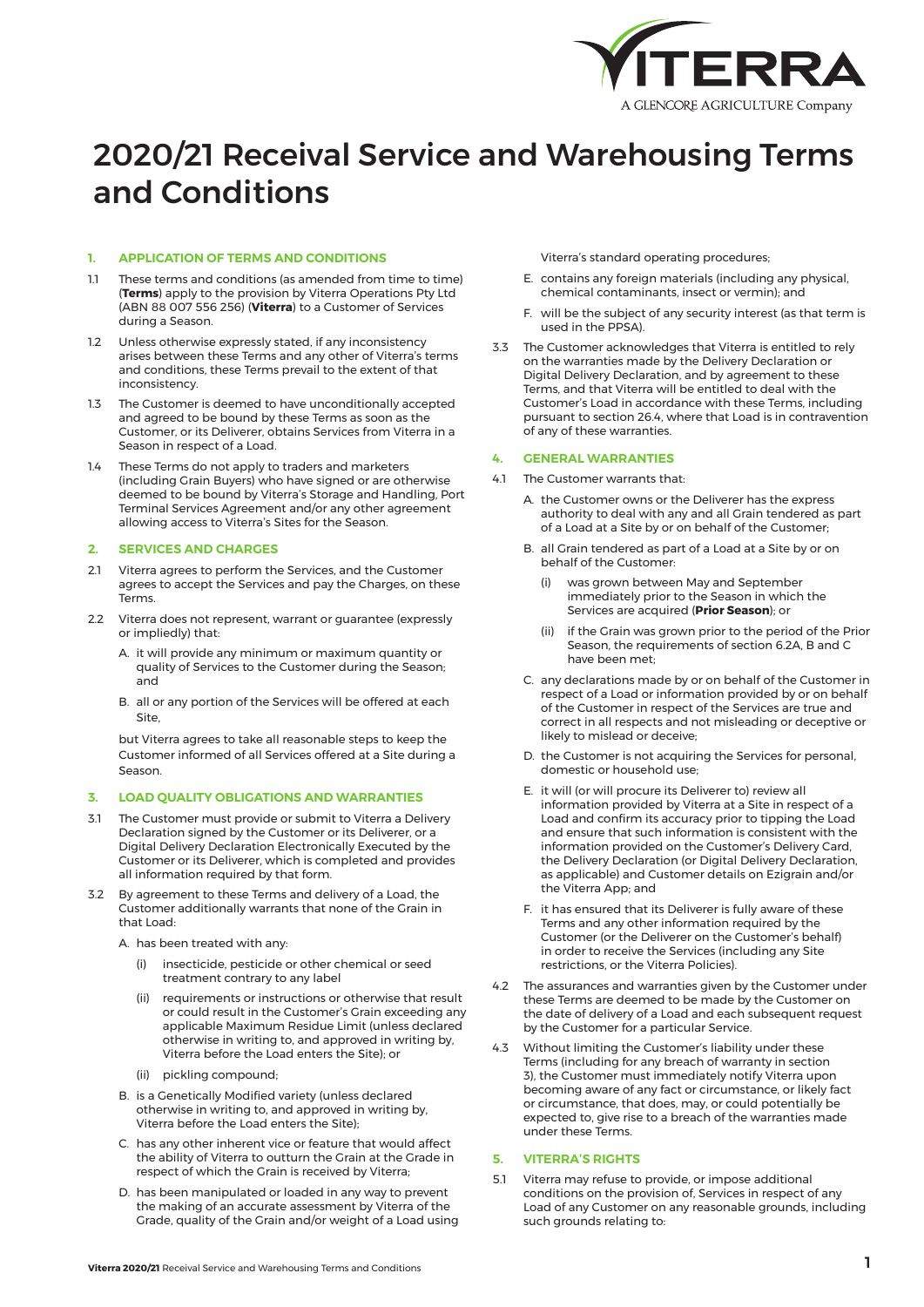

# 2020/21 Receival Service and Warehousing Terms and Conditions

# **1. APPLICATION OF TERMS AND CONDITIONS**

- 1.1 These terms and conditions (as amended from time to time) (**Terms**) apply to the provision by Viterra Operations Pty Ltd (ABN 88 007 556 256) (**Viterra**) to a Customer of Services during a Season.
- 1.2 Unless otherwise expressly stated, if any inconsistency arises between these Terms and any other of Viterra's terms and conditions, these Terms prevail to the extent of that inconsistency.
- 1.3 The Customer is deemed to have unconditionally accepted and agreed to be bound by these Terms as soon as the Customer, or its Deliverer, obtains Services from Viterra in a Season in respect of a Load.
- 1.4 These Terms do not apply to traders and marketers (including Grain Buyers) who have signed or are otherwise deemed to be bound by Viterra's Storage and Handling, Port Terminal Services Agreement and/or any other agreement allowing access to Viterra's Sites for the Season.

# **2. SERVICES AND CHARGES**

- 2.1 Viterra agrees to perform the Services, and the Customer agrees to accept the Services and pay the Charges, on these Terms.
- 2.2 Viterra does not represent, warrant or guarantee (expressly or impliedly) that:
	- A. it will provide any minimum or maximum quantity or quality of Services to the Customer during the Season; and
	- B. all or any portion of the Services will be offered at each Site,

but Viterra agrees to take all reasonable steps to keep the Customer informed of all Services offered at a Site during a Season.

# **3. LOAD QUALITY OBLIGATIONS AND WARRANTIES**

- 3.1 The Customer must provide or submit to Viterra a Delivery Declaration signed by the Customer or its Deliverer, or a Digital Delivery Declaration Electronically Executed by the Customer or its Deliverer, which is completed and provides all information required by that form.
- 3.2 By agreement to these Terms and delivery of a Load, the Customer additionally warrants that none of the Grain in that Load:
	- A. has been treated with any:
		- (i) insecticide, pesticide or other chemical or seed treatment contrary to any label
		- (ii) requirements or instructions or otherwise that result or could result in the Customer's Grain exceeding any applicable Maximum Residue Limit (unless declared otherwise in writing to, and approved in writing by, Viterra before the Load enters the Site); or
		- (ii) pickling compound;
	- B. is a Genetically Modified variety (unless declared otherwise in writing to, and approved in writing by, Viterra before the Load enters the Site);
	- C. has any other inherent vice or feature that would affect the ability of Viterra to outturn the Grain at the Grade in respect of which the Grain is received by Viterra;
	- D. has been manipulated or loaded in any way to prevent the making of an accurate assessment by Viterra of the Grade, quality of the Grain and/or weight of a Load using

Viterra's standard operating procedures;

- E. contains any foreign materials (including any physical, chemical contaminants, insect or vermin); and
- F. will be the subject of any security interest (as that term is used in the PPSA).
- 3.3 The Customer acknowledges that Viterra is entitled to rely on the warranties made by the Delivery Declaration or Digital Delivery Declaration, and by agreement to these Terms, and that Viterra will be entitled to deal with the Customer's Load in accordance with these Terms, including pursuant to section 26.4, where that Load is in contravention of any of these warranties.

# **4. GENERAL WARRANTIES**

- 4.1 The Customer warrants that:
	- A. the Customer owns or the Deliverer has the express authority to deal with any and all Grain tendered as part of a Load at a Site by or on behalf of the Customer;
	- B. all Grain tendered as part of a Load at a Site by or on behalf of the Customer:
		- was grown between May and September immediately prior to the Season in which the Services are acquired (**Prior Season**); or
		- (ii) if the Grain was grown prior to the period of the Prior Season, the requirements of section 6.2A, B and C have been met;
	- C. any declarations made by or on behalf of the Customer in respect of a Load or information provided by or on behalf of the Customer in respect of the Services are true and correct in all respects and not misleading or deceptive or likely to mislead or deceive;
	- D. the Customer is not acquiring the Services for personal, domestic or household use;
	- E. it will (or will procure its Deliverer to) review all information provided by Viterra at a Site in respect of a Load and confirm its accuracy prior to tipping the Load and ensure that such information is consistent with the information provided on the Customer's Delivery Card, the Delivery Declaration (or Digital Delivery Declaration, as applicable) and Customer details on Ezigrain and/or the Viterra App; and
	- F. it has ensured that its Deliverer is fully aware of these Terms and any other information required by the Customer (or the Deliverer on the Customer's behalf) in order to receive the Services (including any Site restrictions, or the Viterra Policies).
- 4.2 The assurances and warranties given by the Customer under these Terms are deemed to be made by the Customer on the date of delivery of a Load and each subsequent request by the Customer for a particular Service.
- 4.3 Without limiting the Customer's liability under these Terms (including for any breach of warranty in section 3), the Customer must immediately notify Viterra upon becoming aware of any fact or circumstance, or likely fact or circumstance, that does, may, or could potentially be expected to, give rise to a breach of the warranties made under these Terms.

# **5. VITERRA'S RIGHTS**

5.1 Viterra may refuse to provide, or impose additional conditions on the provision of, Services in respect of any Load of any Customer on any reasonable grounds, including such grounds relating to: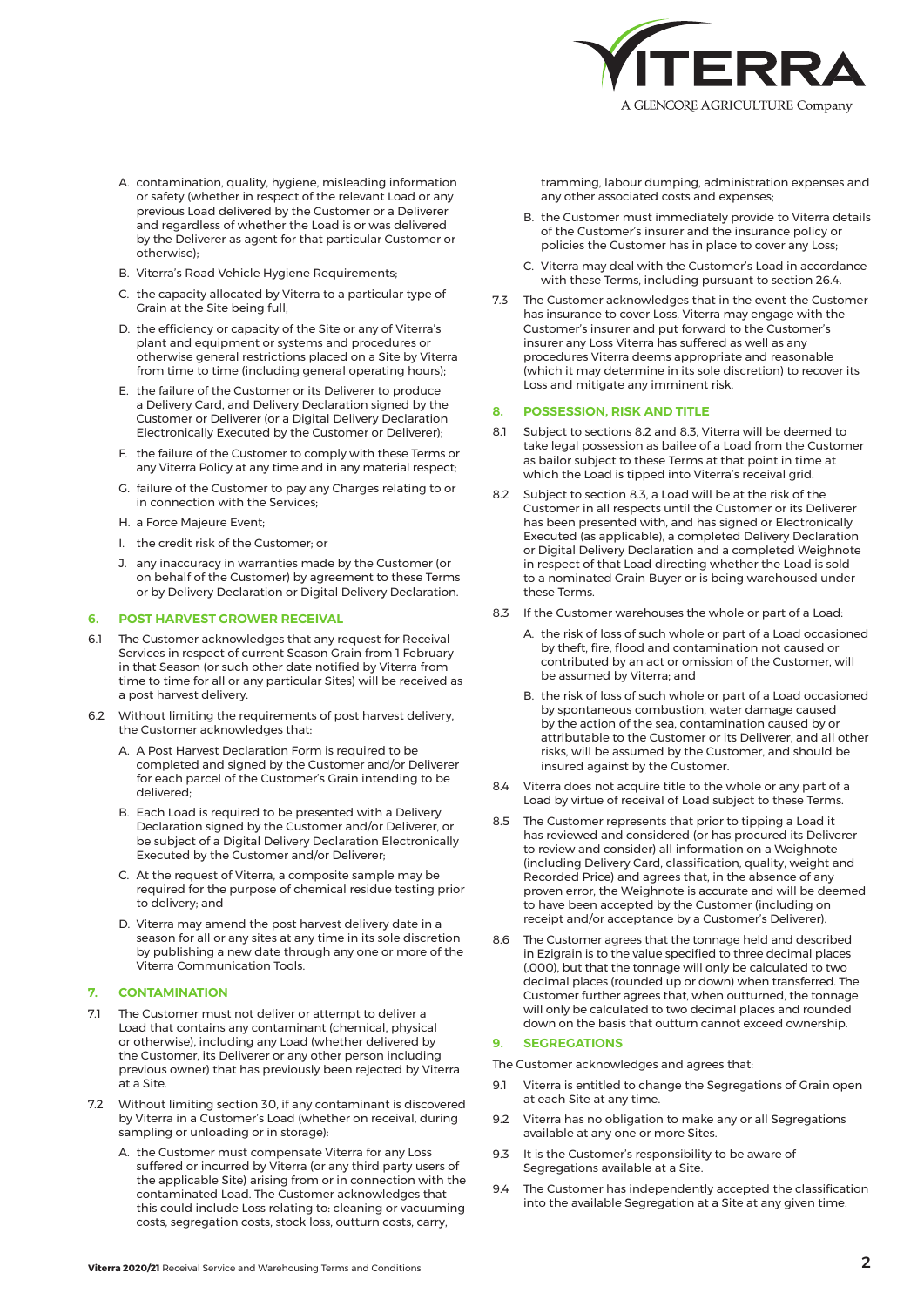

- A. contamination, quality, hygiene, misleading information or safety (whether in respect of the relevant Load or any previous Load delivered by the Customer or a Deliverer and regardless of whether the Load is or was delivered by the Deliverer as agent for that particular Customer or otherwise);
- B. Viterra's Road Vehicle Hygiene Requirements;
- C. the capacity allocated by Viterra to a particular type of Grain at the Site being full;
- D. the efficiency or capacity of the Site or any of Viterra's plant and equipment or systems and procedures or otherwise general restrictions placed on a Site by Viterra from time to time (including general operating hours);
- E. the failure of the Customer or its Deliverer to produce a Delivery Card, and Delivery Declaration signed by the Customer or Deliverer (or a Digital Delivery Declaration Electronically Executed by the Customer or Deliverer);
- F. the failure of the Customer to comply with these Terms or any Viterra Policy at any time and in any material respect;
- G. failure of the Customer to pay any Charges relating to or in connection with the Services;
- H. a Force Majeure Event;
- I. the credit risk of the Customer; or
- J. any inaccuracy in warranties made by the Customer (or on behalf of the Customer) by agreement to these Terms or by Delivery Declaration or Digital Delivery Declaration.

# **6. POST HARVEST GROWER RECEIVAL**

- 6.1 The Customer acknowledges that any request for Receival Services in respect of current Season Grain from 1 February in that Season (or such other date notified by Viterra from time to time for all or any particular Sites) will be received as a post harvest delivery.
- 6.2 Without limiting the requirements of post harvest delivery, the Customer acknowledges that:
	- A. A Post Harvest Declaration Form is required to be completed and signed by the Customer and/or Deliverer for each parcel of the Customer's Grain intending to be delivered;
	- B. Each Load is required to be presented with a Delivery Declaration signed by the Customer and/or Deliverer, or be subject of a Digital Delivery Declaration Electronically Executed by the Customer and/or Deliverer;
	- C. At the request of Viterra, a composite sample may be required for the purpose of chemical residue testing prior to delivery; and
	- D. Viterra may amend the post harvest delivery date in a season for all or any sites at any time in its sole discretion by publishing a new date through any one or more of the Viterra Communication Tools.

# **7. CONTAMINATION**

- 7.1 The Customer must not deliver or attempt to deliver a Load that contains any contaminant (chemical, physical or otherwise), including any Load (whether delivered by the Customer, its Deliverer or any other person including previous owner) that has previously been rejected by Viterra at a Site.
- 7.2 Without limiting section 30, if any contaminant is discovered by Viterra in a Customer's Load (whether on receival, during sampling or unloading or in storage):
	- A. the Customer must compensate Viterra for any Loss suffered or incurred by Viterra (or any third party users of the applicable Site) arising from or in connection with the contaminated Load. The Customer acknowledges that this could include Loss relating to: cleaning or vacuuming costs, segregation costs, stock loss, outturn costs, carry,

tramming, labour dumping, administration expenses and any other associated costs and expenses;

- B. the Customer must immediately provide to Viterra details of the Customer's insurer and the insurance policy or policies the Customer has in place to cover any Loss;
- C. Viterra may deal with the Customer's Load in accordance with these Terms, including pursuant to section 26.4.
- 7.3 The Customer acknowledges that in the event the Customer has insurance to cover Loss, Viterra may engage with the Customer's insurer and put forward to the Customer's insurer any Loss Viterra has suffered as well as any procedures Viterra deems appropriate and reasonable (which it may determine in its sole discretion) to recover its Loss and mitigate any imminent risk.

#### **8. POSSESSION, RISK AND TITLE**

- 8.1 Subject to sections 8.2 and 8.3, Viterra will be deemed to take legal possession as bailee of a Load from the Customer as bailor subject to these Terms at that point in time at which the Load is tipped into Viterra's receival grid.
- 8.2 Subject to section 8.3, a Load will be at the risk of the Customer in all respects until the Customer or its Deliverer has been presented with, and has signed or Electronically Executed (as applicable), a completed Delivery Declaration or Digital Delivery Declaration and a completed Weighnote in respect of that Load directing whether the Load is sold to a nominated Grain Buyer or is being warehoused under these Terms.
- 8.3 If the Customer warehouses the whole or part of a Load:
	- A. the risk of loss of such whole or part of a Load occasioned by theft, fire, flood and contamination not caused or contributed by an act or omission of the Customer, will be assumed by Viterra; and
	- B. the risk of loss of such whole or part of a Load occasioned by spontaneous combustion, water damage caused by the action of the sea, contamination caused by or attributable to the Customer or its Deliverer, and all other risks, will be assumed by the Customer, and should be insured against by the Customer.
- 8.4 Viterra does not acquire title to the whole or any part of a Load by virtue of receival of Load subject to these Terms.
- 8.5 The Customer represents that prior to tipping a Load it has reviewed and considered (or has procured its Deliverer to review and consider) all information on a Weighnote (including Delivery Card, classification, quality, weight and Recorded Price) and agrees that, in the absence of any proven error, the Weighnote is accurate and will be deemed to have been accepted by the Customer (including on receipt and/or acceptance by a Customer's Deliverer).
- 8.6 The Customer agrees that the tonnage held and described in Ezigrain is to the value specified to three decimal places (.000), but that the tonnage will only be calculated to two decimal places (rounded up or down) when transferred. The Customer further agrees that, when outturned, the tonnage will only be calculated to two decimal places and rounded down on the basis that outturn cannot exceed ownership.

## **9. SEGREGATIONS**

The Customer acknowledges and agrees that:

- 9.1 Viterra is entitled to change the Segregations of Grain open at each Site at any time.
- 9.2 Viterra has no obligation to make any or all Segregations available at any one or more Sites.
- 9.3 It is the Customer's responsibility to be aware of Segregations available at a Site.
- 9.4 The Customer has independently accepted the classification into the available Segregation at a Site at any given time.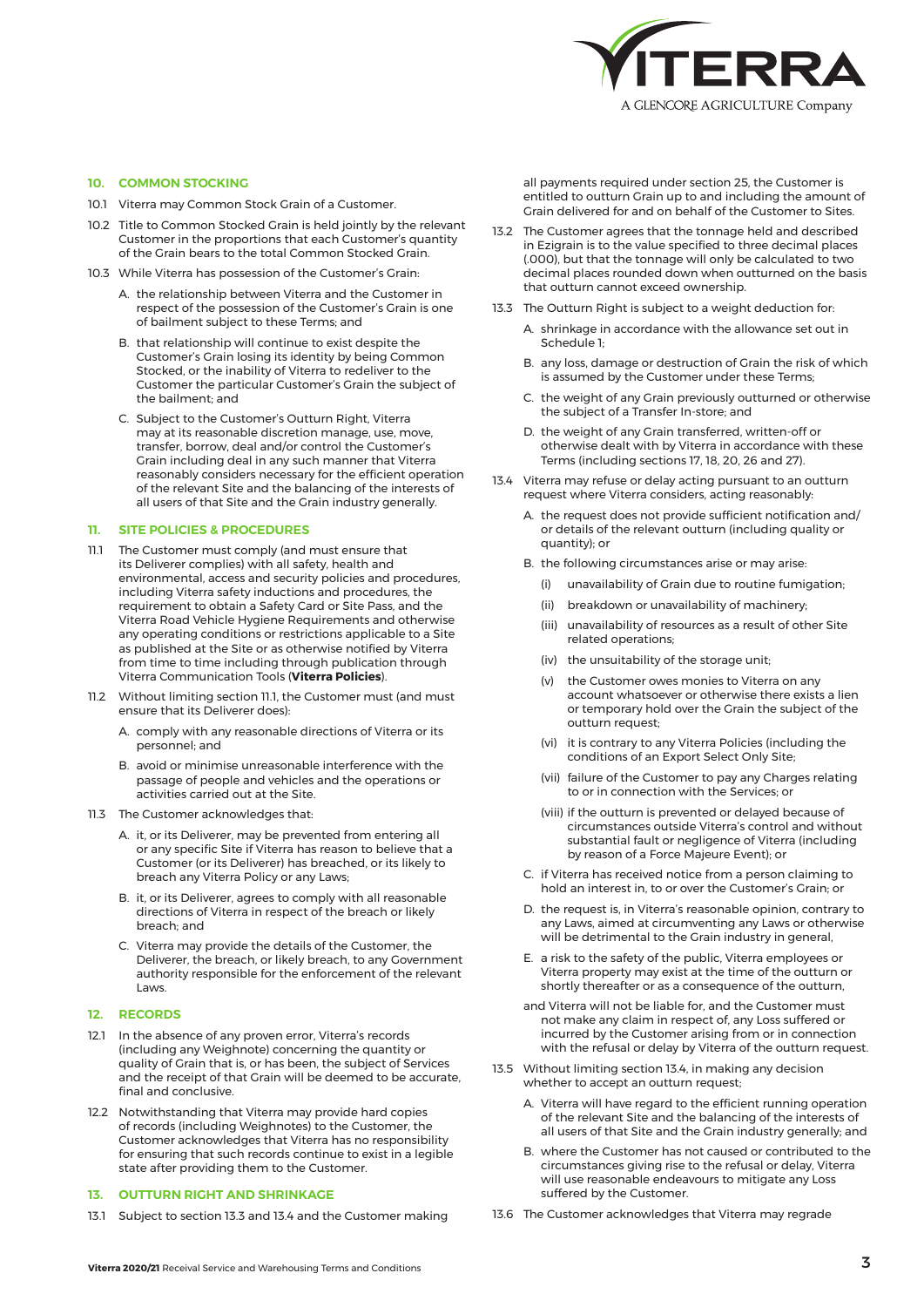

# **10. COMMON STOCKING**

- 10.1 Viterra may Common Stock Grain of a Customer.
- 10.2 Title to Common Stocked Grain is held jointly by the relevant Customer in the proportions that each Customer's quantity of the Grain bears to the total Common Stocked Grain.
- 10.3 While Viterra has possession of the Customer's Grain:
	- A. the relationship between Viterra and the Customer in respect of the possession of the Customer's Grain is one of bailment subject to these Terms; and
	- B. that relationship will continue to exist despite the Customer's Grain losing its identity by being Common Stocked, or the inability of Viterra to redeliver to the Customer the particular Customer's Grain the subject of the bailment; and
	- C. Subject to the Customer's Outturn Right, Viterra may at its reasonable discretion manage, use, move, transfer, borrow, deal and/or control the Customer's Grain including deal in any such manner that Viterra reasonably considers necessary for the efficient operation of the relevant Site and the balancing of the interests of all users of that Site and the Grain industry generally.

# **11. SITE POLICIES & PROCEDURES**

- 11.1 The Customer must comply (and must ensure that its Deliverer complies) with all safety, health and environmental, access and security policies and procedures, including Viterra safety inductions and procedures, the requirement to obtain a Safety Card or Site Pass, and the Viterra Road Vehicle Hygiene Requirements and otherwise any operating conditions or restrictions applicable to a Site as published at the Site or as otherwise notified by Viterra from time to time including through publication through Viterra Communication Tools (**Viterra Policies**).
- 11.2 Without limiting section 11.1, the Customer must (and must ensure that its Deliverer does):
	- A. comply with any reasonable directions of Viterra or its personnel; and
	- B. avoid or minimise unreasonable interference with the passage of people and vehicles and the operations or activities carried out at the Site.
- 11.3 The Customer acknowledges that:
	- A. it, or its Deliverer, may be prevented from entering all or any specific Site if Viterra has reason to believe that a Customer (or its Deliverer) has breached, or its likely to breach any Viterra Policy or any Laws;
	- B. it, or its Deliverer, agrees to comply with all reasonable directions of Viterra in respect of the breach or likely breach; and
	- C. Viterra may provide the details of the Customer, the Deliverer, the breach, or likely breach, to any Government authority responsible for the enforcement of the relevant Laws.

# **12. RECORDS**

- 12.1 In the absence of any proven error, Viterra's records (including any Weighnote) concerning the quantity or quality of Grain that is, or has been, the subject of Services and the receipt of that Grain will be deemed to be accurate, final and conclusive.
- 12.2 Notwithstanding that Viterra may provide hard copies of records (including Weighnotes) to the Customer, the Customer acknowledges that Viterra has no responsibility for ensuring that such records continue to exist in a legible state after providing them to the Customer.

**13. OUTTURN RIGHT AND SHRINKAGE**

13.1 Subject to section 13.3 and 13.4 and the Customer making

all payments required under section 25, the Customer is entitled to outturn Grain up to and including the amount of Grain delivered for and on behalf of the Customer to Sites.

- 13.2 The Customer agrees that the tonnage held and described in Ezigrain is to the value specified to three decimal places (.000), but that the tonnage will only be calculated to two decimal places rounded down when outturned on the basis that outturn cannot exceed ownership.
- 13.3 The Outturn Right is subject to a weight deduction for:
	- A. shrinkage in accordance with the allowance set out in Schedule 1;
	- B. any loss, damage or destruction of Grain the risk of which is assumed by the Customer under these Terms;
	- C. the weight of any Grain previously outturned or otherwise the subject of a Transfer In-store; and
	- D. the weight of any Grain transferred, written-off or otherwise dealt with by Viterra in accordance with these Terms (including sections 17, 18, 20, 26 and 27).
- 13.4 Viterra may refuse or delay acting pursuant to an outturn request where Viterra considers, acting reasonably:
	- A. the request does not provide sufficient notification and/ or details of the relevant outturn (including quality or quantity); or
	- B. the following circumstances arise or may arise:
		- (i) unavailability of Grain due to routine fumigation;
		- (ii) breakdown or unavailability of machinery;
		- (iii) unavailability of resources as a result of other Site related operations;
		- (iv) the unsuitability of the storage unit;
		- (v) the Customer owes monies to Viterra on any account whatsoever or otherwise there exists a lien or temporary hold over the Grain the subject of the outturn request;
		- (vi) it is contrary to any Viterra Policies (including the conditions of an Export Select Only Site;
		- (vii) failure of the Customer to pay any Charges relating to or in connection with the Services; or
		- (viii) if the outturn is prevented or delayed because of circumstances outside Viterra's control and without substantial fault or negligence of Viterra (including by reason of a Force Majeure Event); or
	- C. if Viterra has received notice from a person claiming to hold an interest in, to or over the Customer's Grain; or
	- D. the request is, in Viterra's reasonable opinion, contrary to any Laws, aimed at circumventing any Laws or otherwise will be detrimental to the Grain industry in general,
	- E. a risk to the safety of the public, Viterra employees or Viterra property may exist at the time of the outturn or shortly thereafter or as a consequence of the outturn,
	- and Viterra will not be liable for, and the Customer must not make any claim in respect of, any Loss suffered or incurred by the Customer arising from or in connection with the refusal or delay by Viterra of the outturn request.
- 13.5 Without limiting section 13.4, in making any decision whether to accept an outturn request;
	- A. Viterra will have regard to the efficient running operation of the relevant Site and the balancing of the interests of all users of that Site and the Grain industry generally; and
	- B. where the Customer has not caused or contributed to the circumstances giving rise to the refusal or delay, Viterra will use reasonable endeavours to mitigate any Loss suffered by the Customer.
- 13.6 The Customer acknowledges that Viterra may regrade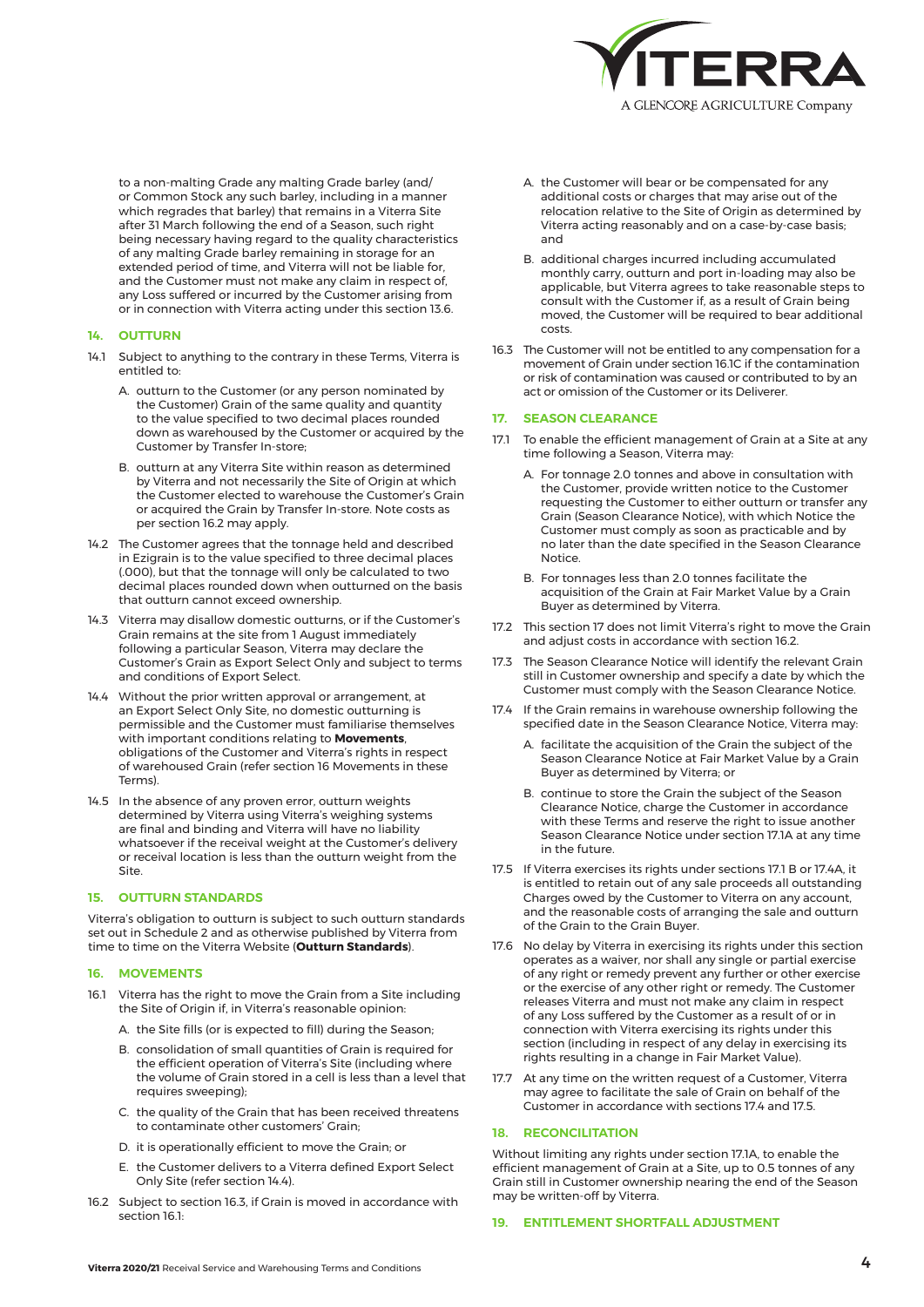

to a non-malting Grade any malting Grade barley (and/ or Common Stock any such barley, including in a manner which regrades that barley) that remains in a Viterra Site after 31 March following the end of a Season, such right being necessary having regard to the quality characteristics of any malting Grade barley remaining in storage for an extended period of time, and Viterra will not be liable for, and the Customer must not make any claim in respect of, any Loss suffered or incurred by the Customer arising from or in connection with Viterra acting under this section 13.6.

# **14. OUTTURN**

- 14.1 Subject to anything to the contrary in these Terms, Viterra is entitled to:
	- A. outturn to the Customer (or any person nominated by the Customer) Grain of the same quality and quantity to the value specified to two decimal places rounded down as warehoused by the Customer or acquired by the Customer by Transfer In-store;
	- B. outturn at any Viterra Site within reason as determined by Viterra and not necessarily the Site of Origin at which the Customer elected to warehouse the Customer's Grain or acquired the Grain by Transfer In-store. Note costs as per section 16.2 may apply.
- 14.2 The Customer agrees that the tonnage held and described in Ezigrain is to the value specified to three decimal places (.000), but that the tonnage will only be calculated to two decimal places rounded down when outturned on the basis that outturn cannot exceed ownership.
- 14.3 Viterra may disallow domestic outturns, or if the Customer's Grain remains at the site from 1 August immediately following a particular Season, Viterra may declare the Customer's Grain as Export Select Only and subject to terms and conditions of Export Select.
- 14.4 Without the prior written approval or arrangement, at an Export Select Only Site, no domestic outturning is permissible and the Customer must familiarise themselves with important conditions relating to **Movements**, obligations of the Customer and Viterra's rights in respect of warehoused Grain (refer section 16 Movements in these Terms).
- 14.5 In the absence of any proven error, outturn weights determined by Viterra using Viterra's weighing systems are final and binding and Viterra will have no liability whatsoever if the receival weight at the Customer's delivery or receival location is less than the outturn weight from the Site.

# **15. OUTTURN STANDARDS**

Viterra's obligation to outturn is subject to such outturn standards set out in Schedule 2 and as otherwise published by Viterra from time to time on the Viterra Website (**Outturn Standards**).

# **16. MOVEMENTS**

- 16.1 Viterra has the right to move the Grain from a Site including the Site of Origin if, in Viterra's reasonable opinion:
	- A. the Site fills (or is expected to fill) during the Season;
	- B. consolidation of small quantities of Grain is required for the efficient operation of Viterra's Site (including where the volume of Grain stored in a cell is less than a level that requires sweeping);
	- C. the quality of the Grain that has been received threatens to contaminate other customers' Grain;
	- D. it is operationally efficient to move the Grain; or
	- E. the Customer delivers to a Viterra defined Export Select Only Site (refer section 14.4).
- 16.2 Subject to section 16.3, if Grain is moved in accordance with section 16.1:
- A. the Customer will bear or be compensated for any additional costs or charges that may arise out of the relocation relative to the Site of Origin as determined by Viterra acting reasonably and on a case-by-case basis; and
- B. additional charges incurred including accumulated monthly carry, outturn and port in-loading may also be applicable, but Viterra agrees to take reasonable steps to consult with the Customer if, as a result of Grain being moved, the Customer will be required to bear additional costs.
- 16.3 The Customer will not be entitled to any compensation for a movement of Grain under section 16.1C if the contamination or risk of contamination was caused or contributed to by an act or omission of the Customer or its Deliverer.

# **17. SEASON CLEARANCE**

- 17.1 To enable the efficient management of Grain at a Site at any time following a Season, Viterra may:
	- A. For tonnage 2.0 tonnes and above in consultation with the Customer, provide written notice to the Customer requesting the Customer to either outturn or transfer any Grain (Season Clearance Notice), with which Notice the Customer must comply as soon as practicable and by no later than the date specified in the Season Clearance Notice.
	- B. For tonnages less than 2.0 tonnes facilitate the acquisition of the Grain at Fair Market Value by a Grain Buyer as determined by Viterra.
- 17.2 This section 17 does not limit Viterra's right to move the Grain and adjust costs in accordance with section 16.2.
- 17.3 The Season Clearance Notice will identify the relevant Grain still in Customer ownership and specify a date by which the Customer must comply with the Season Clearance Notice.
- 17.4 If the Grain remains in warehouse ownership following the specified date in the Season Clearance Notice, Viterra may:
	- A. facilitate the acquisition of the Grain the subject of the Season Clearance Notice at Fair Market Value by a Grain Buyer as determined by Viterra; or
	- B. continue to store the Grain the subject of the Season Clearance Notice, charge the Customer in accordance with these Terms and reserve the right to issue another Season Clearance Notice under section 17.1A at any time in the future.
- 17.5 If Viterra exercises its rights under sections 17.1 B or 17.4A, it is entitled to retain out of any sale proceeds all outstanding Charges owed by the Customer to Viterra on any account, and the reasonable costs of arranging the sale and outturn of the Grain to the Grain Buyer.
- 17.6 No delay by Viterra in exercising its rights under this section operates as a waiver, nor shall any single or partial exercise of any right or remedy prevent any further or other exercise or the exercise of any other right or remedy. The Customer releases Viterra and must not make any claim in respect of any Loss suffered by the Customer as a result of or in connection with Viterra exercising its rights under this section (including in respect of any delay in exercising its rights resulting in a change in Fair Market Value).
- 17.7 At any time on the written request of a Customer, Viterra may agree to facilitate the sale of Grain on behalf of the Customer in accordance with sections 17.4 and 17.5.

# **18. RECONCILITATION**

Without limiting any rights under section 17.1A, to enable the efficient management of Grain at a Site, up to 0.5 tonnes of any Grain still in Customer ownership nearing the end of the Season may be written-off by Viterra.

# **19. ENTITLEMENT SHORTFALL ADJUSTMENT**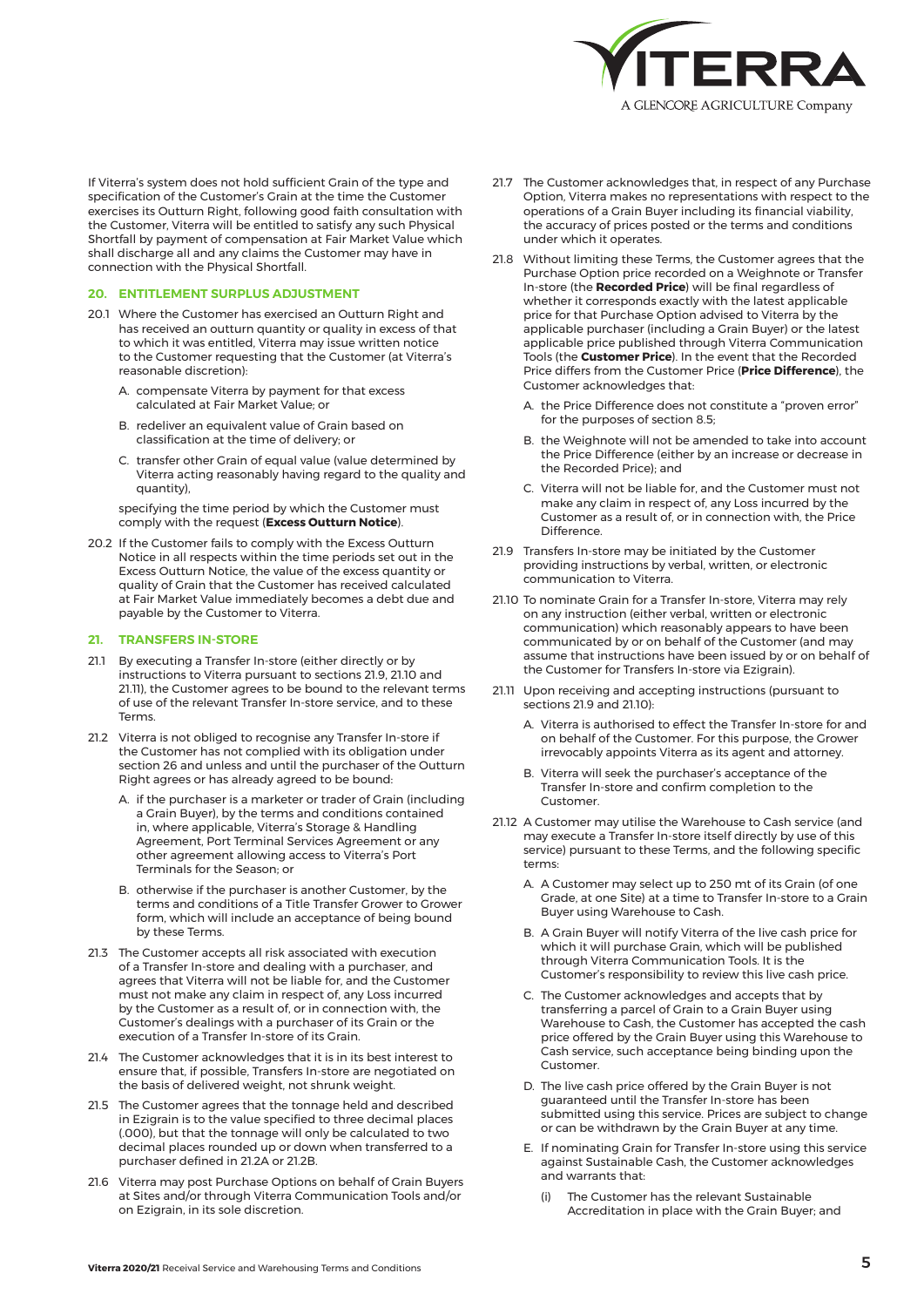

If Viterra's system does not hold sufficient Grain of the type and specification of the Customer's Grain at the time the Customer exercises its Outturn Right, following good faith consultation with the Customer, Viterra will be entitled to satisfy any such Physical Shortfall by payment of compensation at Fair Market Value which shall discharge all and any claims the Customer may have in connection with the Physical Shortfall.

# **20. ENTITLEMENT SURPLUS ADJUSTMENT**

- 20.1 Where the Customer has exercised an Outturn Right and has received an outturn quantity or quality in excess of that to which it was entitled, Viterra may issue written notice to the Customer requesting that the Customer (at Viterra's reasonable discretion):
	- A. compensate Viterra by payment for that excess calculated at Fair Market Value; or
	- B. redeliver an equivalent value of Grain based on classification at the time of delivery; or
	- C. transfer other Grain of equal value (value determined by Viterra acting reasonably having regard to the quality and quantity),

specifying the time period by which the Customer must comply with the request (**Excess Outturn Notice**).

20.2 If the Customer fails to comply with the Excess Outturn Notice in all respects within the time periods set out in the Excess Outturn Notice, the value of the excess quantity or quality of Grain that the Customer has received calculated at Fair Market Value immediately becomes a debt due and payable by the Customer to Viterra.

# **21. TRANSFERS IN-STORE**

- 21.1 By executing a Transfer In-store (either directly or by instructions to Viterra pursuant to sections 21.9, 21.10 and 21.11), the Customer agrees to be bound to the relevant terms of use of the relevant Transfer In-store service, and to these Terms.
- 21.2 Viterra is not obliged to recognise any Transfer In-store if the Customer has not complied with its obligation under section 26 and unless and until the purchaser of the Outturn Right agrees or has already agreed to be bound:
	- A. if the purchaser is a marketer or trader of Grain (including a Grain Buyer), by the terms and conditions contained in, where applicable, Viterra's Storage & Handling Agreement, Port Terminal Services Agreement or any other agreement allowing access to Viterra's Port Terminals for the Season; or
	- B. otherwise if the purchaser is another Customer, by the terms and conditions of a Title Transfer Grower to Grower form, which will include an acceptance of being bound by these Terms.
- 21.3 The Customer accepts all risk associated with execution of a Transfer In-store and dealing with a purchaser, and agrees that Viterra will not be liable for, and the Customer must not make any claim in respect of, any Loss incurred by the Customer as a result of, or in connection with, the Customer's dealings with a purchaser of its Grain or the execution of a Transfer In-store of its Grain.
- 21.4 The Customer acknowledges that it is in its best interest to ensure that, if possible, Transfers In-store are negotiated on the basis of delivered weight, not shrunk weight.
- 21.5 The Customer agrees that the tonnage held and described in Ezigrain is to the value specified to three decimal places (.000), but that the tonnage will only be calculated to two decimal places rounded up or down when transferred to a purchaser defined in 21.2A or 21.2B.
- 21.6 Viterra may post Purchase Options on behalf of Grain Buyers at Sites and/or through Viterra Communication Tools and/or on Ezigrain, in its sole discretion.
- 21.7 The Customer acknowledges that, in respect of any Purchase Option, Viterra makes no representations with respect to the operations of a Grain Buyer including its financial viability, the accuracy of prices posted or the terms and conditions under which it operates.
- 21.8 Without limiting these Terms, the Customer agrees that the Purchase Option price recorded on a Weighnote or Transfer In-store (the **Recorded Price**) will be final regardless of whether it corresponds exactly with the latest applicable price for that Purchase Option advised to Viterra by the applicable purchaser (including a Grain Buyer) or the latest applicable price published through Viterra Communication Tools (the **Customer Price**). In the event that the Recorded Price differs from the Customer Price (**Price Difference**), the Customer acknowledges that:
	- A. the Price Difference does not constitute a "proven error" for the purposes of section 8.5;
	- B. the Weighnote will not be amended to take into account the Price Difference (either by an increase or decrease in the Recorded Price); and
	- C. Viterra will not be liable for, and the Customer must not make any claim in respect of, any Loss incurred by the Customer as a result of, or in connection with, the Price Difference.
- 21.9 Transfers In-store may be initiated by the Customer providing instructions by verbal, written, or electronic communication to Viterra.
- 21.10 To nominate Grain for a Transfer In-store, Viterra may rely on any instruction (either verbal, written or electronic communication) which reasonably appears to have been communicated by or on behalf of the Customer (and may assume that instructions have been issued by or on behalf of the Customer for Transfers In-store via Ezigrain).
- 21.11 Upon receiving and accepting instructions (pursuant to sections 21.9 and 21.10):
	- A. Viterra is authorised to effect the Transfer In-store for and on behalf of the Customer. For this purpose, the Grower irrevocably appoints Viterra as its agent and attorney.
	- B. Viterra will seek the purchaser's acceptance of the Transfer In-store and confirm completion to the Customer.
- 21.12 A Customer may utilise the Warehouse to Cash service (and may execute a Transfer In-store itself directly by use of this service) pursuant to these Terms, and the following specific terms:
	- A. A Customer may select up to 250 mt of its Grain (of one Grade, at one Site) at a time to Transfer In-store to a Grain Buyer using Warehouse to Cash.
	- B. A Grain Buyer will notify Viterra of the live cash price for which it will purchase Grain, which will be published through Viterra Communication Tools. It is the Customer's responsibility to review this live cash price.
	- C. The Customer acknowledges and accepts that by transferring a parcel of Grain to a Grain Buyer using Warehouse to Cash, the Customer has accepted the cash price offered by the Grain Buyer using this Warehouse to Cash service, such acceptance being binding upon the Customer.
	- D. The live cash price offered by the Grain Buyer is not guaranteed until the Transfer In-store has been submitted using this service. Prices are subject to change or can be withdrawn by the Grain Buyer at any time.
	- E. If nominating Grain for Transfer In-store using this service against Sustainable Cash, the Customer acknowledges and warrants that:
		- (i) The Customer has the relevant Sustainable Accreditation in place with the Grain Buyer; and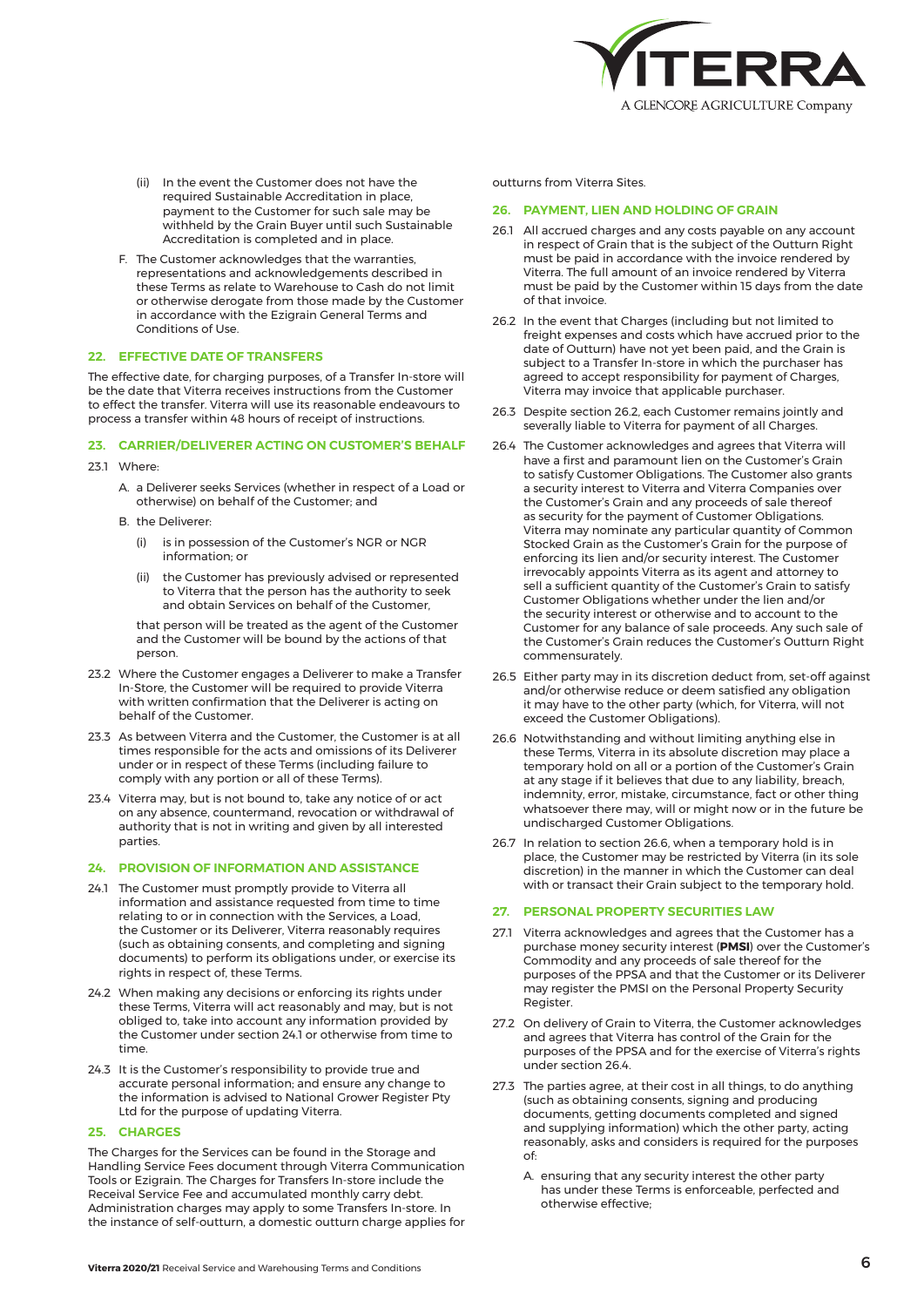

- (ii) In the event the Customer does not have the required Sustainable Accreditation in place, payment to the Customer for such sale may be withheld by the Grain Buyer until such Sustainable Accreditation is completed and in place.
- F. The Customer acknowledges that the warranties, representations and acknowledgements described in these Terms as relate to Warehouse to Cash do not limit or otherwise derogate from those made by the Customer in accordance with the Ezigrain General Terms and Conditions of Use.

## **22. EFFECTIVE DATE OF TRANSFERS**

The effective date, for charging purposes, of a Transfer In-store will be the date that Viterra receives instructions from the Customer to effect the transfer. Viterra will use its reasonable endeavours to process a transfer within 48 hours of receipt of instructions.

#### **23. CARRIER/DELIVERER ACTING ON CUSTOMER'S BEHALF**

- 23.1 Where:
	- A. a Deliverer seeks Services (whether in respect of a Load or otherwise) on behalf of the Customer; and
	- B. the Deliverer:
		- (i) is in possession of the Customer's NGR or NGR information; or
		- (ii) the Customer has previously advised or represented to Viterra that the person has the authority to seek and obtain Services on behalf of the Customer,

that person will be treated as the agent of the Customer and the Customer will be bound by the actions of that person.

- 23.2 Where the Customer engages a Deliverer to make a Transfer In-Store, the Customer will be required to provide Viterra with written confirmation that the Deliverer is acting on behalf of the Customer.
- 23.3 As between Viterra and the Customer, the Customer is at all times responsible for the acts and omissions of its Deliverer under or in respect of these Terms (including failure to comply with any portion or all of these Terms).
- 23.4 Viterra may, but is not bound to, take any notice of or act on any absence, countermand, revocation or withdrawal of authority that is not in writing and given by all interested parties.

# **24. PROVISION OF INFORMATION AND ASSISTANCE**

- 24.1 The Customer must promptly provide to Viterra all information and assistance requested from time to time relating to or in connection with the Services, a Load, the Customer or its Deliverer, Viterra reasonably requires (such as obtaining consents, and completing and signing documents) to perform its obligations under, or exercise its rights in respect of, these Terms.
- 24.2 When making any decisions or enforcing its rights under these Terms, Viterra will act reasonably and may, but is not obliged to, take into account any information provided by the Customer under section 24.1 or otherwise from time to time.
- 24.3 It is the Customer's responsibility to provide true and accurate personal information; and ensure any change to the information is advised to National Grower Register Pty Ltd for the purpose of updating Viterra.

#### **25. CHARGES**

The Charges for the Services can be found in the Storage and Handling Service Fees document through Viterra Communication Tools or Ezigrain. The Charges for Transfers In-store include the Receival Service Fee and accumulated monthly carry debt. Administration charges may apply to some Transfers In-store. In the instance of self-outturn, a domestic outturn charge applies for

outturns from Viterra Sites.

## **26. PAYMENT, LIEN AND HOLDING OF GRAIN**

- 26.1 All accrued charges and any costs payable on any account in respect of Grain that is the subject of the Outturn Right must be paid in accordance with the invoice rendered by Viterra. The full amount of an invoice rendered by Viterra must be paid by the Customer within 15 days from the date of that invoice.
- 26.2 In the event that Charges (including but not limited to freight expenses and costs which have accrued prior to the date of Outturn) have not yet been paid, and the Grain is subject to a Transfer In-store in which the purchaser has agreed to accept responsibility for payment of Charges, Viterra may invoice that applicable purchaser.
- 26.3 Despite section 26.2, each Customer remains jointly and severally liable to Viterra for payment of all Charges.
- 26.4 The Customer acknowledges and agrees that Viterra will have a first and paramount lien on the Customer's Grain to satisfy Customer Obligations. The Customer also grants a security interest to Viterra and Viterra Companies over the Customer's Grain and any proceeds of sale thereof as security for the payment of Customer Obligations. Viterra may nominate any particular quantity of Common Stocked Grain as the Customer's Grain for the purpose of enforcing its lien and/or security interest. The Customer irrevocably appoints Viterra as its agent and attorney to sell a sufficient quantity of the Customer's Grain to satisfy Customer Obligations whether under the lien and/or the security interest or otherwise and to account to the Customer for any balance of sale proceeds. Any such sale of the Customer's Grain reduces the Customer's Outturn Right commensurately.
- 26.5 Either party may in its discretion deduct from, set-off against and/or otherwise reduce or deem satisfied any obligation it may have to the other party (which, for Viterra, will not exceed the Customer Obligations).
- 26.6 Notwithstanding and without limiting anything else in these Terms, Viterra in its absolute discretion may place a temporary hold on all or a portion of the Customer's Grain at any stage if it believes that due to any liability, breach, indemnity, error, mistake, circumstance, fact or other thing whatsoever there may, will or might now or in the future be undischarged Customer Obligations.
- 26.7 In relation to section 26.6, when a temporary hold is in place, the Customer may be restricted by Viterra (in its sole discretion) in the manner in which the Customer can deal with or transact their Grain subject to the temporary hold.

## **27. PERSONAL PROPERTY SECURITIES LAW**

- 27.1 Viterra acknowledges and agrees that the Customer has a purchase money security interest (**PMSI**) over the Customer's Commodity and any proceeds of sale thereof for the purposes of the PPSA and that the Customer or its Deliverer may register the PMSI on the Personal Property Security Register.
- 27.2 On delivery of Grain to Viterra, the Customer acknowledges and agrees that Viterra has control of the Grain for the purposes of the PPSA and for the exercise of Viterra's rights under section 26.4.
- 27.3 The parties agree, at their cost in all things, to do anything (such as obtaining consents, signing and producing documents, getting documents completed and signed and supplying information) which the other party, acting reasonably, asks and considers is required for the purposes of:
	- A. ensuring that any security interest the other party has under these Terms is enforceable, perfected and otherwise effective;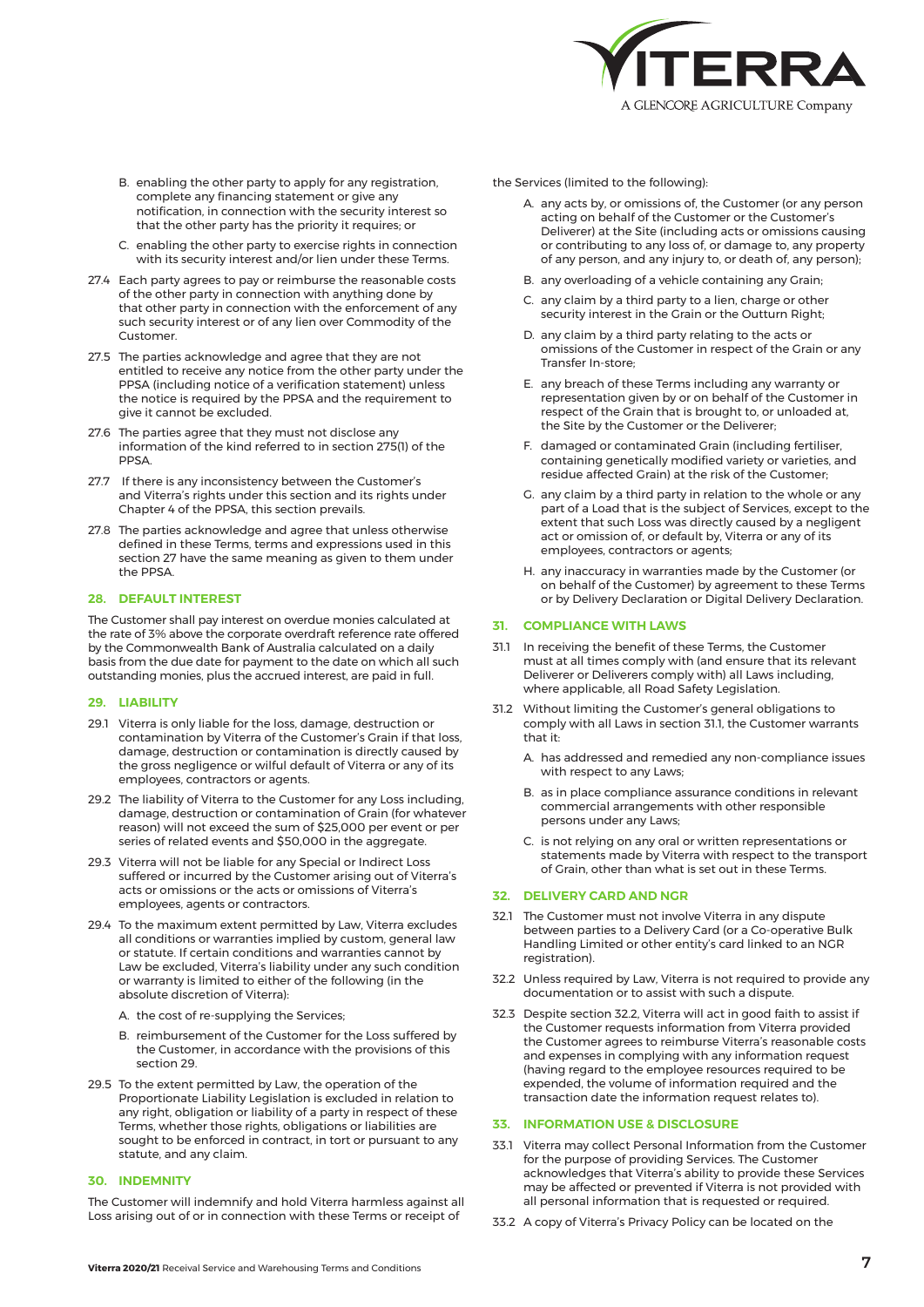

- B. enabling the other party to apply for any registration, complete any financing statement or give any notification, in connection with the security interest so that the other party has the priority it requires; or
- C. enabling the other party to exercise rights in connection with its security interest and/or lien under these Terms.
- 27.4 Each party agrees to pay or reimburse the reasonable costs of the other party in connection with anything done by that other party in connection with the enforcement of any such security interest or of any lien over Commodity of the Customer.
- 27.5 The parties acknowledge and agree that they are not entitled to receive any notice from the other party under the PPSA (including notice of a verification statement) unless the notice is required by the PPSA and the requirement to give it cannot be excluded.
- 27.6 The parties agree that they must not disclose any information of the kind referred to in section 275(1) of the PPSA.
- 27.7 If there is any inconsistency between the Customer's and Viterra's rights under this section and its rights under Chapter 4 of the PPSA, this section prevails.
- 27.8 The parties acknowledge and agree that unless otherwise defined in these Terms, terms and expressions used in this section 27 have the same meaning as given to them under the PPSA.

## **28. DEFAULT INTEREST**

The Customer shall pay interest on overdue monies calculated at the rate of 3% above the corporate overdraft reference rate offered by the Commonwealth Bank of Australia calculated on a daily basis from the due date for payment to the date on which all such outstanding monies, plus the accrued interest, are paid in full.

# **29. LIABILITY**

- 29.1 Viterra is only liable for the loss, damage, destruction or contamination by Viterra of the Customer's Grain if that loss, damage, destruction or contamination is directly caused by the gross negligence or wilful default of Viterra or any of its employees, contractors or agents.
- 29.2 The liability of Viterra to the Customer for any Loss including, damage, destruction or contamination of Grain (for whatever reason) will not exceed the sum of \$25,000 per event or per series of related events and \$50,000 in the aggregate.
- 29.3 Viterra will not be liable for any Special or Indirect Loss suffered or incurred by the Customer arising out of Viterra's acts or omissions or the acts or omissions of Viterra's employees, agents or contractors.
- 29.4 To the maximum extent permitted by Law, Viterra excludes all conditions or warranties implied by custom, general law or statute. If certain conditions and warranties cannot by Law be excluded, Viterra's liability under any such condition or warranty is limited to either of the following (in the absolute discretion of Viterra):
	- A. the cost of re-supplying the Services;
	- B. reimbursement of the Customer for the Loss suffered by the Customer, in accordance with the provisions of this section 29.
- 29.5 To the extent permitted by Law, the operation of the Proportionate Liability Legislation is excluded in relation to any right, obligation or liability of a party in respect of these Terms, whether those rights, obligations or liabilities are sought to be enforced in contract, in tort or pursuant to any statute, and any claim.

## **30. INDEMNITY**

The Customer will indemnify and hold Viterra harmless against all Loss arising out of or in connection with these Terms or receipt of

the Services (limited to the following):

- A. any acts by, or omissions of, the Customer (or any person acting on behalf of the Customer or the Customer's Deliverer) at the Site (including acts or omissions causing or contributing to any loss of, or damage to, any property of any person, and any injury to, or death of, any person);
- B. any overloading of a vehicle containing any Grain;
- C. any claim by a third party to a lien, charge or other security interest in the Grain or the Outturn Right:
- D. any claim by a third party relating to the acts or omissions of the Customer in respect of the Grain or any Transfer In-store;
- E. any breach of these Terms including any warranty or representation given by or on behalf of the Customer in respect of the Grain that is brought to, or unloaded at, the Site by the Customer or the Deliverer;
- F. damaged or contaminated Grain (including fertiliser, containing genetically modified variety or varieties, and residue affected Grain) at the risk of the Customer;
- G. any claim by a third party in relation to the whole or any part of a Load that is the subject of Services, except to the extent that such Loss was directly caused by a negligent act or omission of, or default by, Viterra or any of its employees, contractors or agents;
- H. any inaccuracy in warranties made by the Customer (or on behalf of the Customer) by agreement to these Terms or by Delivery Declaration or Digital Delivery Declaration.

## **31. COMPLIANCE WITH LAWS**

- 31.1 In receiving the benefit of these Terms, the Customer must at all times comply with (and ensure that its relevant Deliverer or Deliverers comply with) all Laws including, where applicable, all Road Safety Legislation.
- 31.2 Without limiting the Customer's general obligations to comply with all Laws in section 31.1, the Customer warrants that it:
	- A. has addressed and remedied any non-compliance issues with respect to any Laws:
	- B. as in place compliance assurance conditions in relevant commercial arrangements with other responsible persons under any Laws;
	- C. is not relying on any oral or written representations or statements made by Viterra with respect to the transport of Grain, other than what is set out in these Terms.

## **32. DELIVERY CARD AND NGR**

- 32.1 The Customer must not involve Viterra in any dispute between parties to a Delivery Card (or a Co-operative Bulk Handling Limited or other entity's card linked to an NGR registration).
- 32.2 Unless required by Law, Viterra is not required to provide any documentation or to assist with such a dispute.
- 32.3 Despite section 32.2, Viterra will act in good faith to assist if the Customer requests information from Viterra provided the Customer agrees to reimburse Viterra's reasonable costs and expenses in complying with any information request (having regard to the employee resources required to be expended, the volume of information required and the transaction date the information request relates to).

## **33. INFORMATION USE & DISCLOSURE**

- 33.1 Viterra may collect Personal Information from the Customer for the purpose of providing Services. The Customer acknowledges that Viterra's ability to provide these Services may be affected or prevented if Viterra is not provided with all personal information that is requested or required.
- 33.2 A copy of Viterra's Privacy Policy can be located on the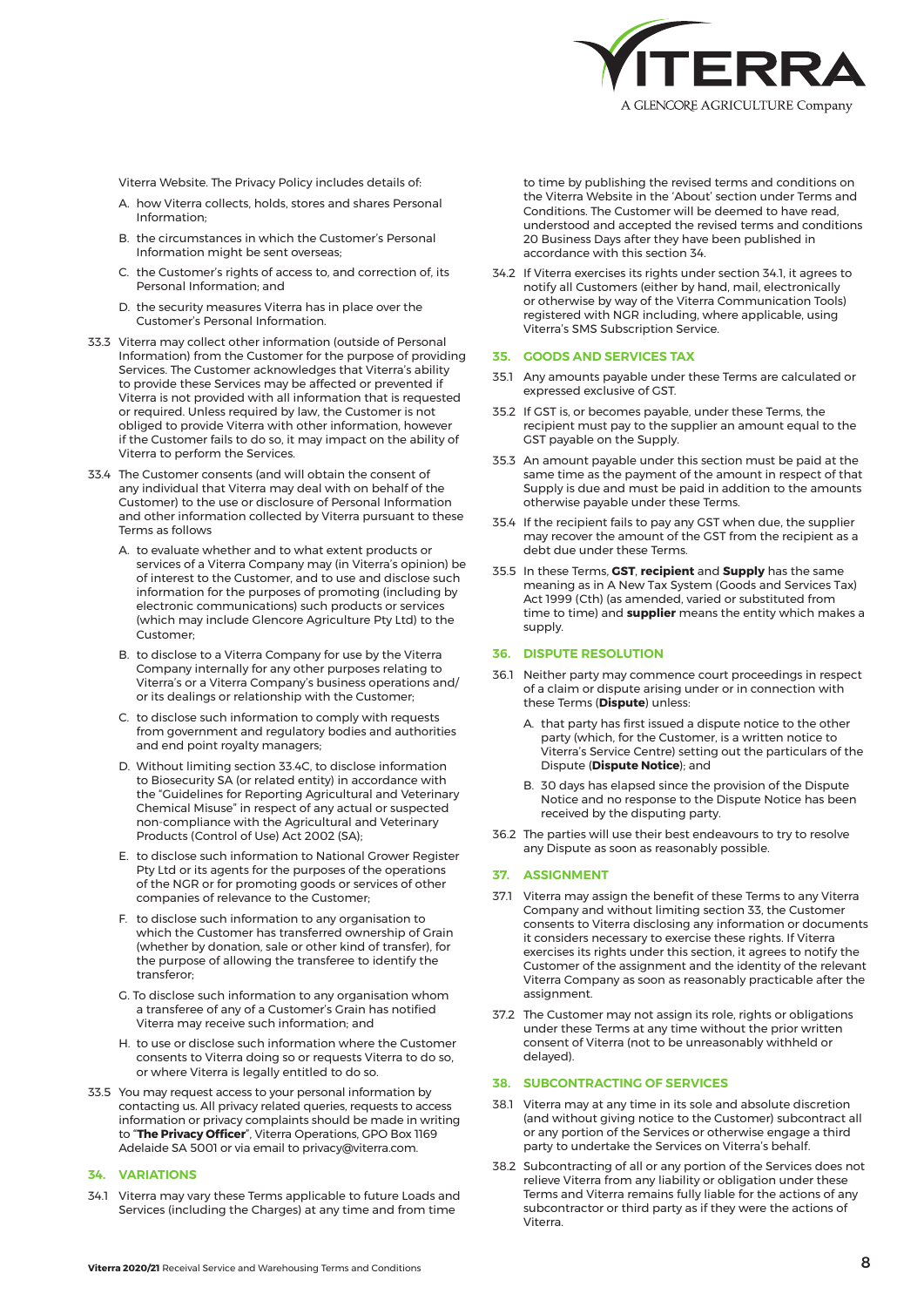

Viterra Website. The Privacy Policy includes details of:

- A. how Viterra collects, holds, stores and shares Personal Information;
- B. the circumstances in which the Customer's Personal Information might be sent overseas;
- C. the Customer's rights of access to, and correction of, its Personal Information; and
- D. the security measures Viterra has in place over the Customer's Personal Information.
- 33.3 Viterra may collect other information (outside of Personal Information) from the Customer for the purpose of providing Services. The Customer acknowledges that Viterra's ability to provide these Services may be affected or prevented if Viterra is not provided with all information that is requested or required. Unless required by law, the Customer is not obliged to provide Viterra with other information, however if the Customer fails to do so, it may impact on the ability of Viterra to perform the Services.
- 33.4 The Customer consents (and will obtain the consent of any individual that Viterra may deal with on behalf of the Customer) to the use or disclosure of Personal Information and other information collected by Viterra pursuant to these Terms as follows
	- A. to evaluate whether and to what extent products or services of a Viterra Company may (in Viterra's opinion) be of interest to the Customer, and to use and disclose such information for the purposes of promoting (including by electronic communications) such products or services (which may include Glencore Agriculture Pty Ltd) to the Customer;
	- B. to disclose to a Viterra Company for use by the Viterra Company internally for any other purposes relating to Viterra's or a Viterra Company's business operations and/ or its dealings or relationship with the Customer;
	- C. to disclose such information to comply with requests from government and regulatory bodies and authorities and end point royalty managers;
	- D. Without limiting section 33.4C, to disclose information to Biosecurity SA (or related entity) in accordance with the "Guidelines for Reporting Agricultural and Veterinary Chemical Misuse" in respect of any actual or suspected non-compliance with the Agricultural and Veterinary Products (Control of Use) Act 2002 (SA);
	- E. to disclose such information to National Grower Register Pty Ltd or its agents for the purposes of the operations of the NGR or for promoting goods or services of other companies of relevance to the Customer;
	- F. to disclose such information to any organisation to which the Customer has transferred ownership of Grain (whether by donation, sale or other kind of transfer), for the purpose of allowing the transferee to identify the transferor;
	- G. To disclose such information to any organisation whom a transferee of any of a Customer's Grain has notified Viterra may receive such information; and
	- H. to use or disclose such information where the Customer consents to Viterra doing so or requests Viterra to do so, or where Viterra is legally entitled to do so.
- 33.5 You may request access to your personal information by contacting us. All privacy related queries, requests to access information or privacy complaints should be made in writing to "**The Privacy Officer**", Viterra Operations, GPO Box 1169 Adelaide SA 5001 or via email to privacy@viterra.com.

## **34. VARIATIONS**

34.1 Viterra may vary these Terms applicable to future Loads and Services (including the Charges) at any time and from time

to time by publishing the revised terms and conditions on the Viterra Website in the 'About' section under Terms and Conditions. The Customer will be deemed to have read, understood and accepted the revised terms and conditions 20 Business Days after they have been published in accordance with this section 34.

34.2 If Viterra exercises its rights under section 34.1, it agrees to notify all Customers (either by hand, mail, electronically or otherwise by way of the Viterra Communication Tools) registered with NGR including, where applicable, using Viterra's SMS Subscription Service.

## **35. GOODS AND SERVICES TAX**

- 35.1 Any amounts payable under these Terms are calculated or expressed exclusive of GST.
- 35.2 If GST is, or becomes payable, under these Terms, the recipient must pay to the supplier an amount equal to the GST payable on the Supply.
- 35.3 An amount payable under this section must be paid at the same time as the payment of the amount in respect of that Supply is due and must be paid in addition to the amounts otherwise payable under these Terms.
- 35.4 If the recipient fails to pay any GST when due, the supplier may recover the amount of the GST from the recipient as a debt due under these Terms.
- 35.5 In these Terms, **GST**, **recipient** and **Supply** has the same meaning as in A New Tax System (Goods and Services Tax) Act 1999 (Cth) (as amended, varied or substituted from time to time) and **supplier** means the entity which makes a supply.

# **36. DISPUTE RESOLUTION**

- 36.1 Neither party may commence court proceedings in respect of a claim or dispute arising under or in connection with these Terms (**Dispute**) unless:
	- A. that party has first issued a dispute notice to the other party (which, for the Customer, is a written notice to Viterra's Service Centre) setting out the particulars of the Dispute (**Dispute Notice**); and
	- B. 30 days has elapsed since the provision of the Dispute Notice and no response to the Dispute Notice has been received by the disputing party.
- 36.2 The parties will use their best endeavours to try to resolve any Dispute as soon as reasonably possible.

# **37. ASSIGNMENT**

- 37.1 Viterra may assign the benefit of these Terms to any Viterra Company and without limiting section 33, the Customer consents to Viterra disclosing any information or documents it considers necessary to exercise these rights. If Viterra exercises its rights under this section, it agrees to notify the Customer of the assignment and the identity of the relevant Viterra Company as soon as reasonably practicable after the assignment.
- 37.2 The Customer may not assign its role, rights or obligations under these Terms at any time without the prior written consent of Viterra (not to be unreasonably withheld or delayed).

# **38. SUBCONTRACTING OF SERVICES**

- 38.1 Viterra may at any time in its sole and absolute discretion (and without giving notice to the Customer) subcontract all or any portion of the Services or otherwise engage a third party to undertake the Services on Viterra's behalf.
- 38.2 Subcontracting of all or any portion of the Services does not relieve Viterra from any liability or obligation under these Terms and Viterra remains fully liable for the actions of any subcontractor or third party as if they were the actions of Viterra.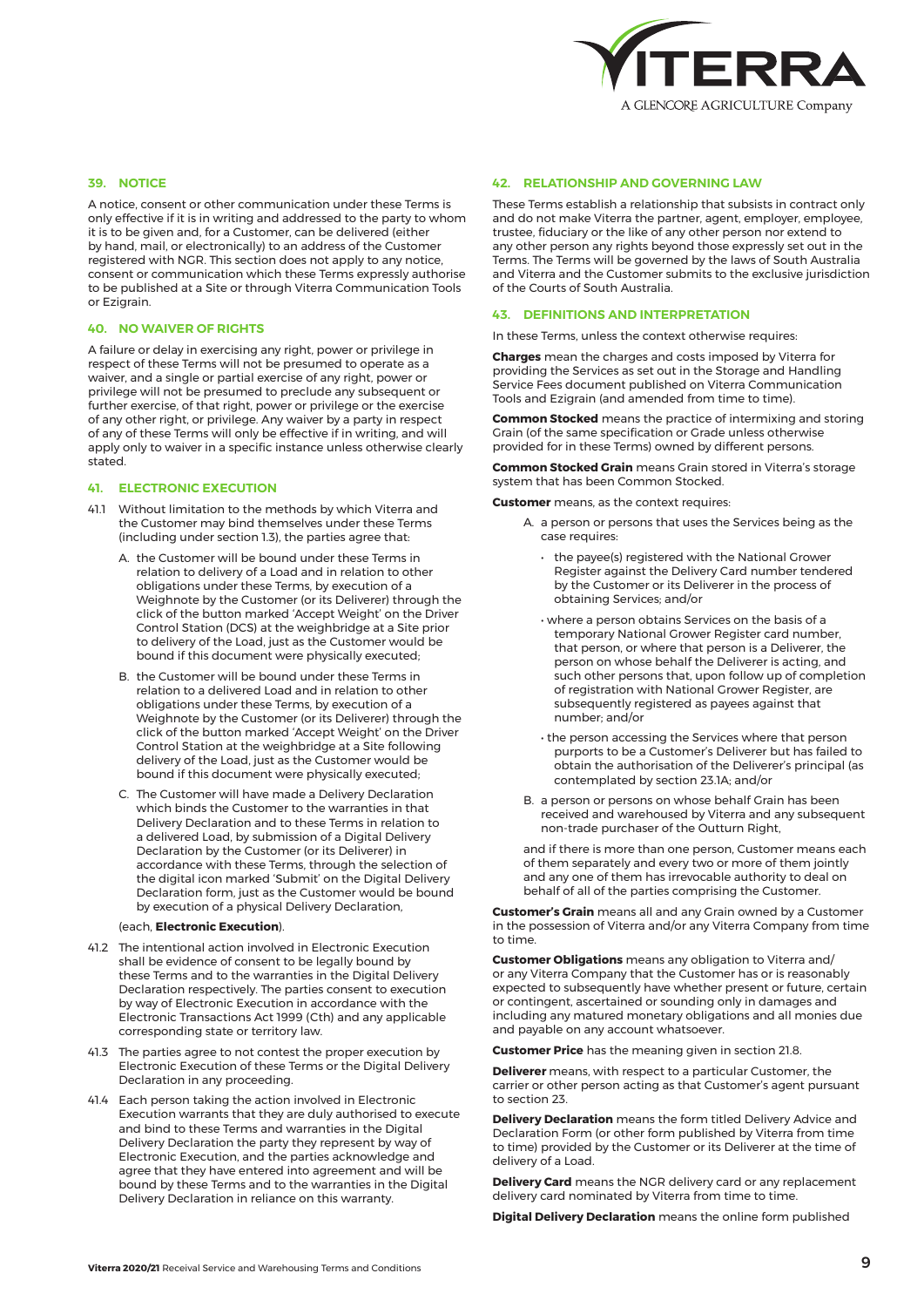

# **39. NOTICE**

A notice, consent or other communication under these Terms is only effective if it is in writing and addressed to the party to whom it is to be given and, for a Customer, can be delivered (either by hand, mail, or electronically) to an address of the Customer registered with NGR. This section does not apply to any notice, consent or communication which these Terms expressly authorise to be published at a Site or through Viterra Communication Tools or Ezigrain.

## **40. NO WAIVER OF RIGHTS**

A failure or delay in exercising any right, power or privilege in respect of these Terms will not be presumed to operate as a waiver, and a single or partial exercise of any right, power or privilege will not be presumed to preclude any subsequent or further exercise, of that right, power or privilege or the exercise of any other right, or privilege. Any waiver by a party in respect of any of these Terms will only be effective if in writing, and will apply only to waiver in a specific instance unless otherwise clearly stated.

## **41. ELECTRONIC EXECUTION**

- 41.1 Without limitation to the methods by which Viterra and the Customer may bind themselves under these Terms (including under section 1.3), the parties agree that:
	- A. the Customer will be bound under these Terms in relation to delivery of a Load and in relation to other obligations under these Terms, by execution of a Weighnote by the Customer (or its Deliverer) through the click of the button marked 'Accept Weight' on the Driver Control Station (DCS) at the weighbridge at a Site prior to delivery of the Load, just as the Customer would be bound if this document were physically executed;
	- B. the Customer will be bound under these Terms in relation to a delivered Load and in relation to other obligations under these Terms, by execution of a Weighnote by the Customer (or its Deliverer) through the click of the button marked 'Accept Weight' on the Driver Control Station at the weighbridge at a Site following delivery of the Load, just as the Customer would be bound if this document were physically executed;
	- C. The Customer will have made a Delivery Declaration which binds the Customer to the warranties in that Delivery Declaration and to these Terms in relation to a delivered Load, by submission of a Digital Delivery Declaration by the Customer (or its Deliverer) in accordance with these Terms, through the selection of the digital icon marked 'Submit' on the Digital Delivery Declaration form, just as the Customer would be bound by execution of a physical Delivery Declaration,

## (each, **Electronic Execution**).

- 412. The intentional action involved in Electronic Execution shall be evidence of consent to be legally bound by these Terms and to the warranties in the Digital Delivery Declaration respectively. The parties consent to execution by way of Electronic Execution in accordance with the Electronic Transactions Act 1999 (Cth) and any applicable corresponding state or territory law.
- 41.3 The parties agree to not contest the proper execution by Electronic Execution of these Terms or the Digital Delivery Declaration in any proceeding.
- 41.4 Each person taking the action involved in Electronic Execution warrants that they are duly authorised to execute and bind to these Terms and warranties in the Digital Delivery Declaration the party they represent by way of Electronic Execution, and the parties acknowledge and agree that they have entered into agreement and will be bound by these Terms and to the warranties in the Digital Delivery Declaration in reliance on this warranty.

## **42. RELATIONSHIP AND GOVERNING LAW**

These Terms establish a relationship that subsists in contract only and do not make Viterra the partner, agent, employer, employee, trustee, fiduciary or the like of any other person nor extend to any other person any rights beyond those expressly set out in the Terms. The Terms will be governed by the laws of South Australia and Viterra and the Customer submits to the exclusive jurisdiction of the Courts of South Australia.

## **43. DEFINITIONS AND INTERPRETATION**

In these Terms, unless the context otherwise requires:

**Charges** mean the charges and costs imposed by Viterra for providing the Services as set out in the Storage and Handling Service Fees document published on Viterra Communication Tools and Ezigrain (and amended from time to time).

**Common Stocked** means the practice of intermixing and storing Grain (of the same specification or Grade unless otherwise provided for in these Terms) owned by different persons.

**Common Stocked Grain** means Grain stored in Viterra's storage system that has been Common Stocked.

**Customer** means, as the context requires:

- A. a person or persons that uses the Services being as the case requires:
	- the payee(s) registered with the National Grower Register against the Delivery Card number tendered by the Customer or its Deliverer in the process of obtaining Services; and/or
	- where a person obtains Services on the basis of a temporary National Grower Register card number, that person, or where that person is a Deliverer, the person on whose behalf the Deliverer is acting, and such other persons that, upon follow up of completion of registration with National Grower Register, are subsequently registered as payees against that number; and/or
	- the person accessing the Services where that person purports to be a Customer's Deliverer but has failed to obtain the authorisation of the Deliverer's principal (as contemplated by section 23.1A; and/or
- B. a person or persons on whose behalf Grain has been received and warehoused by Viterra and any subsequent non-trade purchaser of the Outturn Right,

and if there is more than one person, Customer means each of them separately and every two or more of them jointly and any one of them has irrevocable authority to deal on behalf of all of the parties comprising the Customer.

**Customer's Grain** means all and any Grain owned by a Customer in the possession of Viterra and/or any Viterra Company from time to time.

**Customer Obligations** means any obligation to Viterra and/ or any Viterra Company that the Customer has or is reasonably expected to subsequently have whether present or future, certain or contingent, ascertained or sounding only in damages and including any matured monetary obligations and all monies due and payable on any account whatsoever.

**Customer Price** has the meaning given in section 21.8.

**Deliverer** means, with respect to a particular Customer, the carrier or other person acting as that Customer's agent pursuant to section 23.

**Delivery Declaration** means the form titled Delivery Advice and Declaration Form (or other form published by Viterra from time to time) provided by the Customer or its Deliverer at the time of delivery of a Load.

**Delivery Card** means the NGR delivery card or any replacement delivery card nominated by Viterra from time to time.

**Digital Delivery Declaration** means the online form published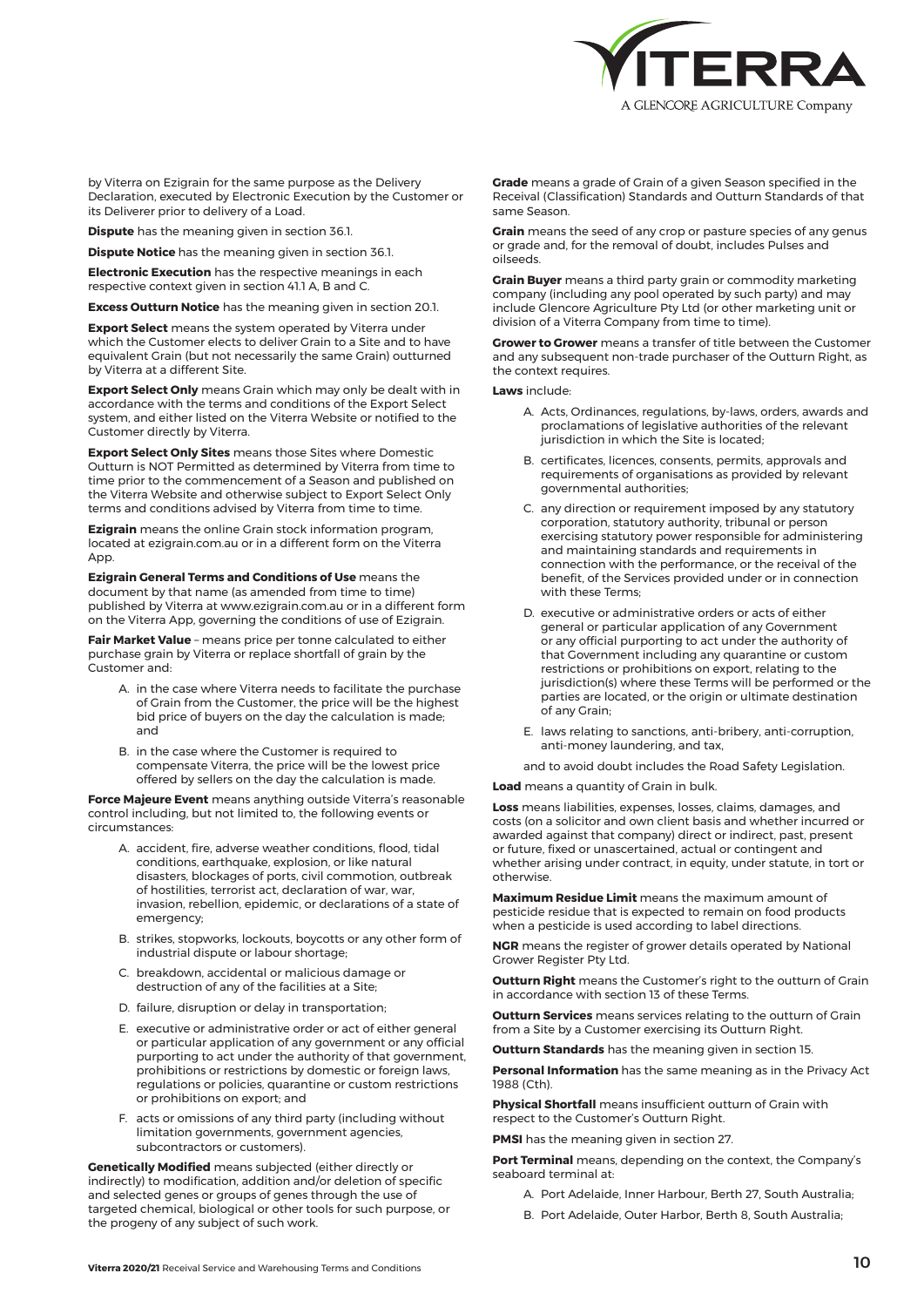

by Viterra on Ezigrain for the same purpose as the Delivery Declaration, executed by Electronic Execution by the Customer or its Deliverer prior to delivery of a Load.

**Dispute** has the meaning given in section 36.1.

**Dispute Notice** has the meaning given in section 36.1.

**Electronic Execution** has the respective meanings in each respective context given in section 41.1 A, B and C.

**Excess Outturn Notice** has the meaning given in section 20.1.

**Export Select** means the system operated by Viterra under which the Customer elects to deliver Grain to a Site and to have equivalent Grain (but not necessarily the same Grain) outturned by Viterra at a different Site.

**Export Select Only** means Grain which may only be dealt with in accordance with the terms and conditions of the Export Select system, and either listed on the Viterra Website or notified to the Customer directly by Viterra.

**Export Select Only Sites** means those Sites where Domestic Outturn is NOT Permitted as determined by Viterra from time to time prior to the commencement of a Season and published on the Viterra Website and otherwise subject to Export Select Only terms and conditions advised by Viterra from time to time.

**Ezigrain** means the online Grain stock information program, located at ezigrain.com.au or in a different form on the Viterra App

**Ezigrain General Terms and Conditions of Use** means the document by that name (as amended from time to time) published by Viterra at www.ezigrain.com.au or in a different form on the Viterra App, governing the conditions of use of Ezigrain.

**Fair Market Value** – means price per tonne calculated to either purchase grain by Viterra or replace shortfall of grain by the Customer and:

- A. in the case where Viterra needs to facilitate the purchase of Grain from the Customer, the price will be the highest bid price of buyers on the day the calculation is made; and
- B. in the case where the Customer is required to compensate Viterra, the price will be the lowest price offered by sellers on the day the calculation is made.

**Force Majeure Event** means anything outside Viterra's reasonable control including, but not limited to, the following events or circumstances:

- A. accident, fire, adverse weather conditions, flood, tidal conditions, earthquake, explosion, or like natural disasters, blockages of ports, civil commotion, outbreak of hostilities, terrorist act, declaration of war, war, invasion, rebellion, epidemic, or declarations of a state of emergency;
- B. strikes, stopworks, lockouts, boycotts or any other form of industrial dispute or labour shortage;
- C. breakdown, accidental or malicious damage or destruction of any of the facilities at a Site;
- D. failure, disruption or delay in transportation;
- E. executive or administrative order or act of either general or particular application of any government or any official purporting to act under the authority of that government, prohibitions or restrictions by domestic or foreign laws, regulations or policies, quarantine or custom restrictions or prohibitions on export; and
- F. acts or omissions of any third party (including without limitation governments, government agencies, subcontractors or customers).

**Genetically Modified** means subjected (either directly or indirectly) to modification, addition and/or deletion of specific and selected genes or groups of genes through the use of targeted chemical, biological or other tools for such purpose, or the progeny of any subject of such work.

**Grade** means a grade of Grain of a given Season specified in the Receival (Classification) Standards and Outturn Standards of that same Season.

**Grain** means the seed of any crop or pasture species of any genus or grade and, for the removal of doubt, includes Pulses and oilseeds.

**Grain Buyer** means a third party grain or commodity marketing company (including any pool operated by such party) and may include Glencore Agriculture Pty Ltd (or other marketing unit or division of a Viterra Company from time to time).

**Grower to Grower** means a transfer of title between the Customer and any subsequent non-trade purchaser of the Outturn Right, as the context requires.

**Laws** include:

- A. Acts, Ordinances, regulations, by-laws, orders, awards and proclamations of legislative authorities of the relevant jurisdiction in which the Site is located:
- B. certificates, licences, consents, permits, approvals and requirements of organisations as provided by relevant governmental authorities;
- C. any direction or requirement imposed by any statutory corporation, statutory authority, tribunal or person exercising statutory power responsible for administering and maintaining standards and requirements in connection with the performance, or the receival of the benefit, of the Services provided under or in connection with these Terms;
- D. executive or administrative orders or acts of either general or particular application of any Government or any official purporting to act under the authority of that Government including any quarantine or custom restrictions or prohibitions on export, relating to the jurisdiction(s) where these Terms will be performed or the parties are located, or the origin or ultimate destination of any Grain;
- E. laws relating to sanctions, anti-bribery, anti-corruption, anti-money laundering, and tax,

and to avoid doubt includes the Road Safety Legislation.

**Load** means a quantity of Grain in bulk.

**Loss** means liabilities, expenses, losses, claims, damages, and costs (on a solicitor and own client basis and whether incurred or awarded against that company) direct or indirect, past, present or future, fixed or unascertained, actual or contingent and whether arising under contract, in equity, under statute, in tort or otherwise.

**Maximum Residue Limit** means the maximum amount of pesticide residue that is expected to remain on food products when a pesticide is used according to label directions.

**NGR** means the register of grower details operated by National Grower Register Pty Ltd.

**Outturn Right** means the Customer's right to the outturn of Grain in accordance with section 13 of these Terms.

**Outturn Services** means services relating to the outturn of Grain from a Site by a Customer exercising its Outturn Right.

**Outturn Standards** has the meaning given in section 15.

**Personal Information** has the same meaning as in the Privacy Act 1988 (Cth).

**Physical Shortfall** means insufficient outturn of Grain with respect to the Customer's Outturn Right.

**PMSI** has the meaning given in section 27.

**Port Terminal** means, depending on the context, the Company's seaboard terminal at:

- A. Port Adelaide, Inner Harbour, Berth 27, South Australia;
- B. Port Adelaide, Outer Harbor, Berth 8, South Australia;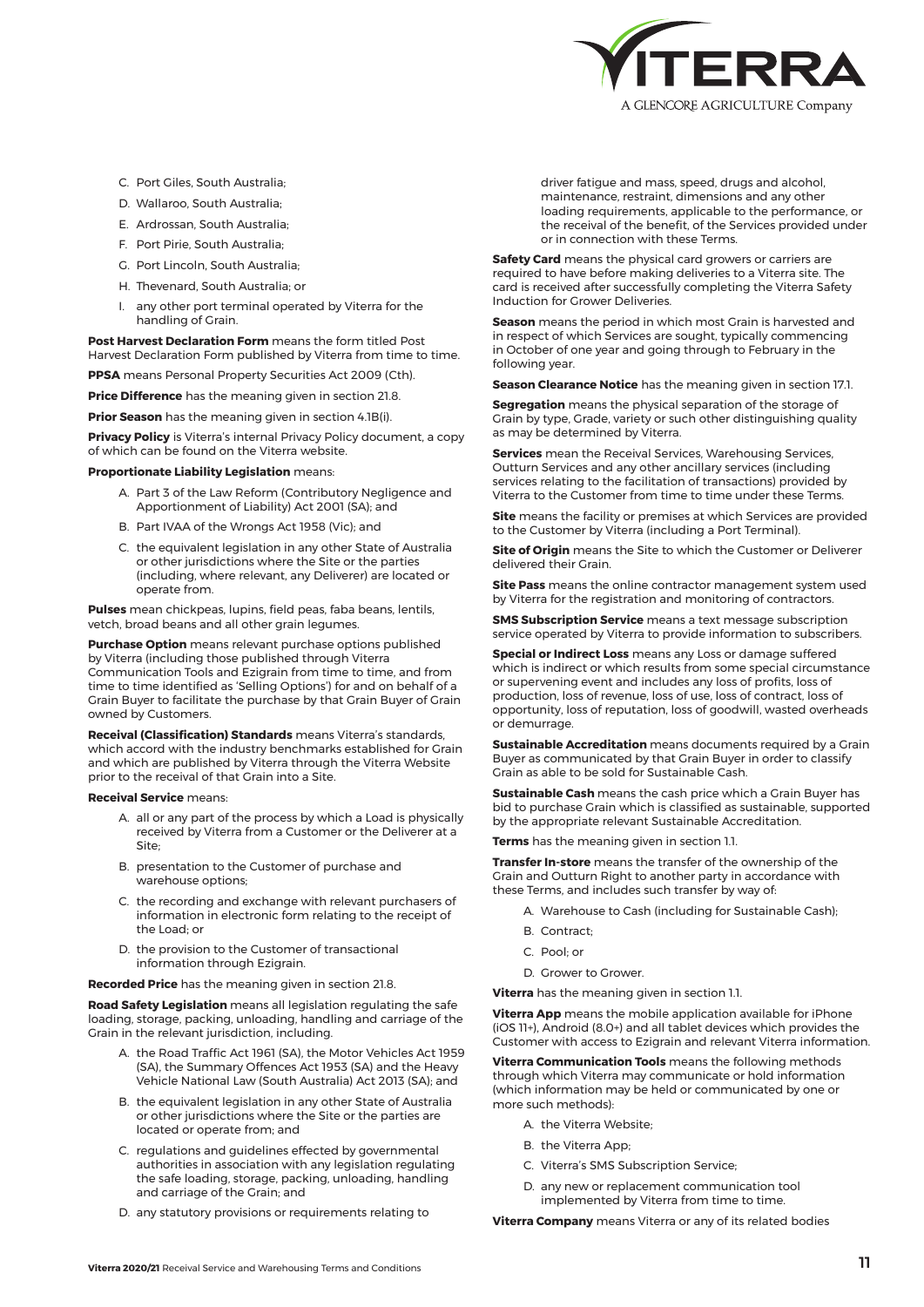

- C. Port Giles, South Australia;
- D. Wallaroo, South Australia;
- E. Ardrossan, South Australia;
- F. Port Pirie, South Australia;
- G. Port Lincoln, South Australia;
- H. Thevenard, South Australia; or
- I. any other port terminal operated by Viterra for the handling of Grain.

**Post Harvest Declaration Form** means the form titled Post Harvest Declaration Form published by Viterra from time to time.

**PPSA** means Personal Property Securities Act 2009 (Cth).

**Price Difference** has the meaning given in section 21.8.

**Prior Season** has the meaning given in section 4.1B(i).

**Privacy Policy** is Viterra's internal Privacy Policy document, a copy of which can be found on the Viterra website.

#### **Proportionate Liability Legislation** means:

- A. Part 3 of the Law Reform (Contributory Negligence and Apportionment of Liability) Act 2001 (SA); and
- B. Part IVAA of the Wrongs Act 1958 (Vic); and
- C. the equivalent legislation in any other State of Australia or other jurisdictions where the Site or the parties (including, where relevant, any Deliverer) are located or operate from.

**Pulses** mean chickpeas, lupins, field peas, faba beans, lentils, vetch, broad beans and all other grain legumes.

**Purchase Option** means relevant purchase options published by Viterra (including those published through Viterra Communication Tools and Ezigrain from time to time, and from time to time identified as 'Selling Options') for and on behalf of a Grain Buyer to facilitate the purchase by that Grain Buyer of Grain owned by Customers.

**Receival (Classification) Standards** means Viterra's standards, which accord with the industry benchmarks established for Grain and which are published by Viterra through the Viterra Website prior to the receival of that Grain into a Site.

#### **Receival Service** means:

- A. all or any part of the process by which a Load is physically received by Viterra from a Customer or the Deliverer at a Site;
- B. presentation to the Customer of purchase and warehouse options;
- C. the recording and exchange with relevant purchasers of information in electronic form relating to the receipt of the Load; or
- D. the provision to the Customer of transactional information through Ezigrain.

**Recorded Price** has the meaning given in section 21.8.

**Road Safety Legislation** means all legislation regulating the safe loading, storage, packing, unloading, handling and carriage of the Grain in the relevant jurisdiction, including.

- A. the Road Traffic Act 1961 (SA), the Motor Vehicles Act 1959 (SA), the Summary Offences Act 1953 (SA) and the Heavy Vehicle National Law (South Australia) Act 2013 (SA); and
- B. the equivalent legislation in any other State of Australia or other jurisdictions where the Site or the parties are located or operate from; and
- C. regulations and guidelines effected by governmental authorities in association with any legislation regulating the safe loading, storage, packing, unloading, handling and carriage of the Grain; and
- D. any statutory provisions or requirements relating to

driver fatigue and mass, speed, drugs and alcohol, maintenance, restraint, dimensions and any other loading requirements, applicable to the performance, or the receival of the benefit, of the Services provided under or in connection with these Terms.

**Safety Card** means the physical card growers or carriers are required to have before making deliveries to a Viterra site. The card is received after successfully completing the Viterra Safety Induction for Grower Deliveries.

**ason** means the period in which most Grain is harvested and in respect of which Services are sought, typically commencing in October of one year and going through to February in the following year.

**Season Clearance Notice** has the meaning given in section 17.1.

**Segregation** means the physical separation of the storage of Grain by type, Grade, variety or such other distinguishing quality as may be determined by Viterra.

**Services** mean the Receival Services, Warehousing Services, Outturn Services and any other ancillary services (including services relating to the facilitation of transactions) provided by Viterra to the Customer from time to time under these Terms.

**Site** means the facility or premises at which Services are provided to the Customer by Viterra (including a Port Terminal).

**Site of Origin** means the Site to which the Customer or Deliverer delivered their Grain.

**Site Pass** means the online contractor management system used by Viterra for the registration and monitoring of contractors.

**SMS Subscription Service** means a text message subscription service operated by Viterra to provide information to subscribers.

**Special or Indirect Loss** means any Loss or damage suffered which is indirect or which results from some special circumstance or supervening event and includes any loss of profits, loss of production, loss of revenue, loss of use, loss of contract, loss of opportunity, loss of reputation, loss of goodwill, wasted overheads or demurrage.

**Sustainable Accreditation** means documents required by a Grain Buyer as communicated by that Grain Buyer in order to classify Grain as able to be sold for Sustainable Cash.

**Sustainable Cash** means the cash price which a Grain Buyer has bid to purchase Grain which is classified as sustainable, supported by the appropriate relevant Sustainable Accreditation.

**Terms** has the meaning given in section 1.1.

**Transfer In-store** means the transfer of the ownership of the Grain and Outturn Right to another party in accordance with these Terms, and includes such transfer by way of:

- A. Warehouse to Cash (including for Sustainable Cash);
- B. Contract;
- C. Pool; or
- D. Grower to Grower.

**Viterra** has the meaning given in section 1.1.

**Viterra App** means the mobile application available for iPhone (iOS 11+), Android (8.0+) and all tablet devices which provides the Customer with access to Ezigrain and relevant Viterra information.

**Viterra Communication Tools** means the following methods through which Viterra may communicate or hold information (which information may be held or communicated by one or more such methods):

- A. the Viterra Website;
- B. the Viterra App;
- C. Viterra's SMS Subscription Service;
- D. any new or replacement communication tool implemented by Viterra from time to time.

**Viterra Company** means Viterra or any of its related bodies